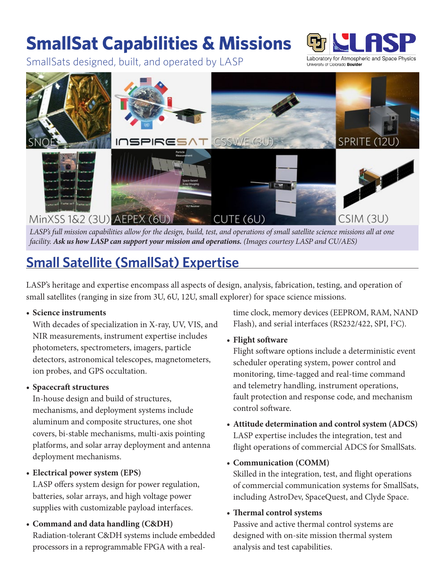## **SmallSat Capabilities & Missions**

SmallSats designed, built, and operated by LASP



Laboratory for Atmospheric and Space Physics University of Colorado Boulder



*LASP's full mission capabilities allow for the design, build, test, and operations of small satellite science missions all at one facility. Ask us how LASP can support your mission and operations. (Images courtesy LASP and CU/AES)*

### **Small Satellite (SmallSat) Expertise**

LASP's heritage and expertise encompass all aspects of design, analysis, fabrication, testing, and operation of small satellites (ranging in size from 3U, 6U, 12U, small explorer) for space science missions.

#### **• Science instruments**

With decades of specialization in X-ray, UV, VIS, and NIR measurements, instrument expertise includes photometers, spectrometers, imagers, particle detectors, astronomical telescopes, magnetometers, ion probes, and GPS occultation.

### **• Spacecraft structures**

In-house design and build of structures, mechanisms, and deployment systems include aluminum and composite structures, one shot covers, bi-stable mechanisms, multi-axis pointing platforms, and solar array deployment and antenna deployment mechanisms.

### **• Electrical power system (EPS)**

LASP offers system design for power regulation, batteries, solar arrays, and high voltage power supplies with customizable payload interfaces.

### **• Command and data handling (C&DH)**

Radiation-tolerant C&DH systems include embedded processors in a reprogrammable FPGA with a realtime clock, memory devices (EEPROM, RAM, NAND Flash), and serial interfaces (RS232/422, SPI, I<sup>2</sup>C).

### **• Flight software**

Flight software options include a deterministic event scheduler operating system, power control and monitoring, time-tagged and real-time command and telemetry handling, instrument operations, fault protection and response code, and mechanism control software.

- **• Attitude determination and control system (ADCS)** LASP expertise includes the integration, test and flight operations of commercial ADCS for SmallSats.
- **• Communication (COMM)**

Skilled in the integration, test, and flight operations of commercial communication systems for SmallSats, including AstroDev, SpaceQuest, and Clyde Space.

### **• Thermal control systems**

Passive and active thermal control systems are designed with on-site mission thermal system analysis and test capabilities.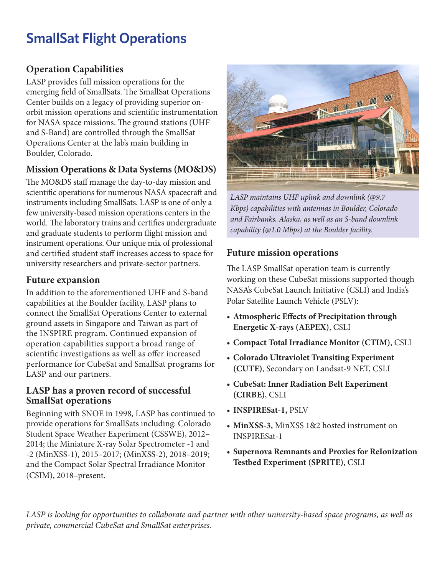### **SmallSat Flight Operations**

### **Operation Capabilities**

LASP provides full mission operations for the emerging field of SmallSats. The SmallSat Operations Center builds on a legacy of providing superior onorbit mission operations and scientific instrumentation for NASA space missions. The ground stations (UHF and S-Band) are controlled through the SmallSat Operations Center at the lab's main building in Boulder, Colorado.

### **Mission Operations & Data Systems (MO&DS)**

The MO&DS staff manage the day-to-day mission and scientific operations for numerous NASA spacecraft and instruments including SmallSats. LASP is one of only a few university-based mission operations centers in the world. The laboratory trains and certifies undergraduate and graduate students to perform flight mission and instrument operations. Our unique mix of professional and certified student staff increases access to space for university researchers and private-sector partners.

### **Future expansion**

In addition to the aforementioned UHF and S-band capabilities at the Boulder facility, LASP plans to connect the SmallSat Operations Center to external ground assets in Singapore and Taiwan as part of the INSPIRE program. Continued expansion of operation capabilities support a broad range of scientific investigations as well as offer increased performance for CubeSat and SmallSat programs for LASP and our partners.

### **LASP has a proven record of successful SmallSat operations**

Beginning with SNOE in 1998, LASP has continued to provide operations for SmallSats including: Colorado Student Space Weather Experiment (CSSWE), 2012– 2014; the Miniature X-ray Solar Spectrometer -1 and -2 (MinXSS-1), 2015–2017; (MinXSS-2), 2018–2019; and the Compact Solar Spectral Irradiance Monitor (CSIM), 2018–present.



*LASP maintains UHF uplink and downlink (@9.7 Kbps) capabilities with antennas in Boulder, Colorado and Fairbanks, Alaska, as well as an S-band downlink capability (@1.0 Mbps) at the Boulder facility.*

### **Future mission operations**

The LASP SmallSat operation team is currently working on these CubeSat missions supported though NASA's CubeSat Launch Initiative (CSLI) and India's Polar Satellite Launch Vehicle (PSLV):

- **• Atmospheric Effects of Precipitation through Energetic X-rays (AEPEX)**, CSLI
- **• Compact Total Irradiance Monitor (CTIM)**, CSLI
- **• Colorado Ultraviolet Transiting Experiment (CUTE)**, Secondary on Landsat-9 NET, CSLI
- **• CubeSat: Inner Radiation Belt Experiment (CIRBE)**, CSLI
- **• INSPIRESat-1,** PSLV
- **• MinXSS-3,** MinXSS 1&2 hosted instrument on INSPIRESat-1
- **• Supernova Remnants and Proxies for ReIonization Testbed Experiment (SPRITE)**, CSLI

*LASP is looking for opportunities to collaborate and partner with other university-based space programs, as well as private, commercial CubeSat and SmallSat enterprises.*